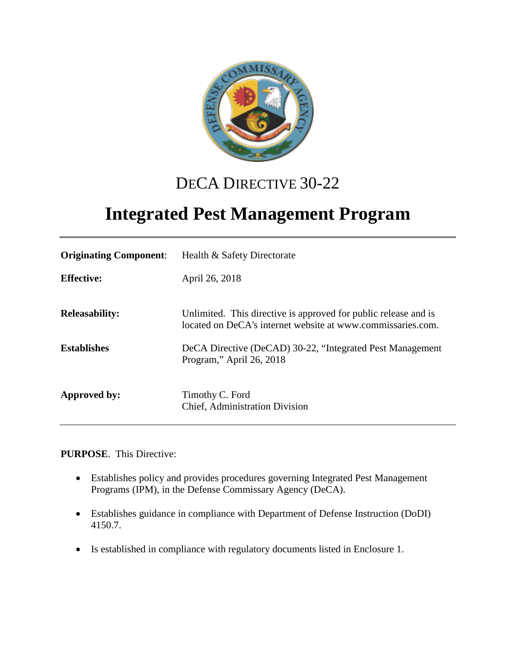

# DECA DIRECTIVE 30-22

# **Integrated Pest Management Program**

| <b>Originating Component:</b> | Health & Safety Directorate                                                                                                    |
|-------------------------------|--------------------------------------------------------------------------------------------------------------------------------|
| <b>Effective:</b>             | April 26, 2018                                                                                                                 |
| <b>Releasability:</b>         | Unlimited. This directive is approved for public release and is<br>located on DeCA's internet website at www.commissaries.com. |
| <b>Establishes</b>            | DeCA Directive (DeCAD) 30-22, "Integrated Pest Management<br>Program," April 26, 2018                                          |
| Approved by:                  | Timothy C. Ford<br>Chief, Administration Division                                                                              |

**PURPOSE**. This Directive:

- Establishes policy and provides procedures governing Integrated Pest Management Programs (IPM), in the Defense Commissary Agency (DeCA).
- Establishes guidance in compliance with Department of Defense Instruction (DoDI) 4150.7.
- Is established in compliance with regulatory documents listed in Enclosure 1.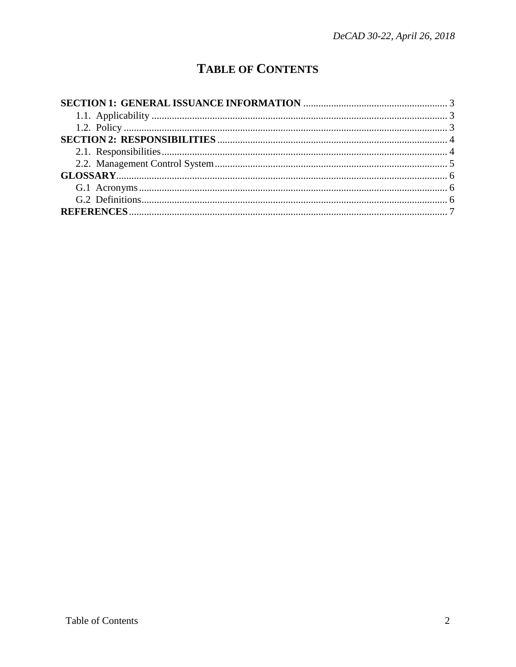## **TABLE OF CONTENTS**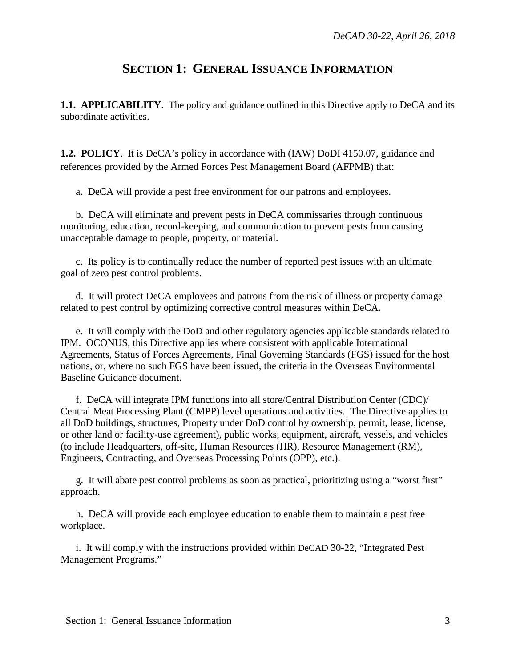## **SECTION 1: GENERAL ISSUANCE INFORMATION**

<span id="page-2-1"></span><span id="page-2-0"></span>**1.1. APPLICABILITY**. The policy and guidance outlined in this Directive apply to DeCA and its subordinate activities.

<span id="page-2-2"></span>**1.2. POLICY**. It is DeCA's policy in accordance with (IAW) DoDI 4150.07, guidance and references provided by the Armed Forces Pest Management Board (AFPMB) that:

a. DeCA will provide a pest free environment for our patrons and employees.

b. DeCA will eliminate and prevent pests in DeCA commissaries through continuous monitoring, education, record-keeping, and communication to prevent pests from causing unacceptable damage to people, property, or material.

c. Its policy is to continually reduce the number of reported pest issues with an ultimate goal of zero pest control problems.

d. It will protect DeCA employees and patrons from the risk of illness or property damage related to pest control by optimizing corrective control measures within DeCA.

e. It will comply with the DoD and other regulatory agencies applicable standards related to IPM. OCONUS, this Directive applies where consistent with applicable International Agreements, Status of Forces Agreements, Final Governing Standards (FGS) issued for the host nations, or, where no such FGS have been issued, the criteria in the Overseas Environmental Baseline Guidance document.

f. DeCA will integrate IPM functions into all store/Central Distribution Center (CDC)/ Central Meat Processing Plant (CMPP) level operations and activities. The Directive applies to all DoD buildings, structures, Property under DoD control by ownership, permit, lease, license, or other land or facility-use agreement), public works, equipment, aircraft, vessels, and vehicles (to include Headquarters, off-site, Human Resources (HR), Resource Management (RM), Engineers, Contracting, and Overseas Processing Points (OPP), etc.).

g. It will abate pest control problems as soon as practical, prioritizing using a "worst first" approach.

h. DeCA will provide each employee education to enable them to maintain a pest free workplace.

i. It will comply with the instructions provided within DeCAD 30-22, "Integrated Pest Management Programs."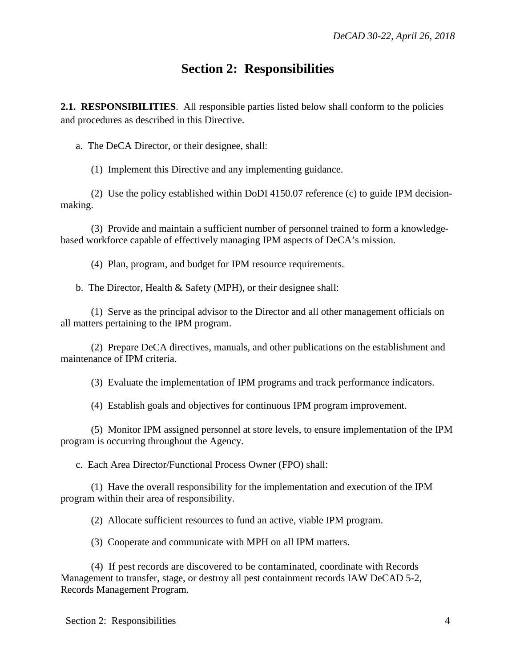## **Section 2: Responsibilities**

<span id="page-3-1"></span><span id="page-3-0"></span>**2.1. RESPONSIBILITIES**. All responsible parties listed below shall conform to the policies and procedures as described in this Directive.

a. The DeCA Director, or their designee, shall:

(1) Implement this Directive and any implementing guidance.

(2) Use the policy established within DoDI 4150.07 reference (c) to guide IPM decisionmaking.

(3) Provide and maintain a sufficient number of personnel trained to form a knowledgebased workforce capable of effectively managing IPM aspects of DeCA's mission.

(4) Plan, program, and budget for IPM resource requirements.

b. The Director, Health & Safety (MPH), or their designee shall:

(1) Serve as the principal advisor to the Director and all other management officials on all matters pertaining to the IPM program.

(2) Prepare DeCA directives, manuals, and other publications on the establishment and maintenance of IPM criteria.

(3) Evaluate the implementation of IPM programs and track performance indicators.

(4) Establish goals and objectives for continuous IPM program improvement.

(5) Monitor IPM assigned personnel at store levels, to ensure implementation of the IPM program is occurring throughout the Agency.

c. Each Area Director/Functional Process Owner (FPO) shall:

(1) Have the overall responsibility for the implementation and execution of the IPM program within their area of responsibility.

(2) Allocate sufficient resources to fund an active, viable IPM program.

(3) Cooperate and communicate with MPH on all IPM matters.

(4) If pest records are discovered to be contaminated, coordinate with Records Management to transfer, stage, or destroy all pest containment records IAW DeCAD 5-2, Records Management Program.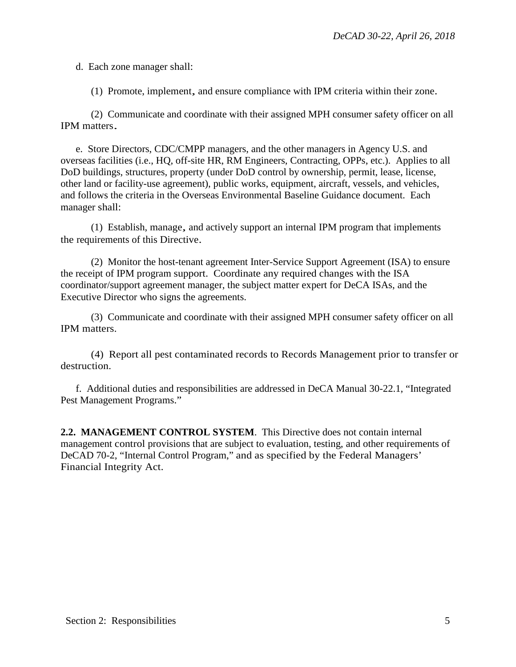d. Each zone manager shall:

(1) Promote, implement, and ensure compliance with IPM criteria within their zone.

(2) Communicate and coordinate with their assigned MPH consumer safety officer on all IPM matters.

e. Store Directors, CDC/CMPP managers, and the other managers in Agency U.S. and overseas facilities (i.e., HQ, off-site HR, RM Engineers, Contracting, OPPs, etc.). Applies to all DoD buildings, structures, property (under DoD control by ownership, permit, lease, license, other land or facility-use agreement), public works, equipment, aircraft, vessels, and vehicles, and follows the criteria in the Overseas Environmental Baseline Guidance document. Each manager shall:

(1) Establish, manage, and actively support an internal IPM program that implements the requirements of this Directive.

(2) Monitor the host-tenant agreement Inter-Service Support Agreement (ISA) to ensure the receipt of IPM program support. Coordinate any required changes with the ISA coordinator/support agreement manager, the subject matter expert for DeCA ISAs, and the Executive Director who signs the agreements.

(3) Communicate and coordinate with their assigned MPH consumer safety officer on all IPM matters.

(4) Report all pest contaminated records to Records Management prior to transfer or destruction.

f. Additional duties and responsibilities are addressed in DeCA Manual 30-22.1, "Integrated Pest Management Programs."

<span id="page-4-0"></span>**2.2. MANAGEMENT CONTROL SYSTEM**. This Directive does not contain internal management control provisions that are subject to evaluation, testing, and other requirements of DeCAD 70-2, "Internal Control Program," and as specified by the Federal Managers' Financial Integrity Act.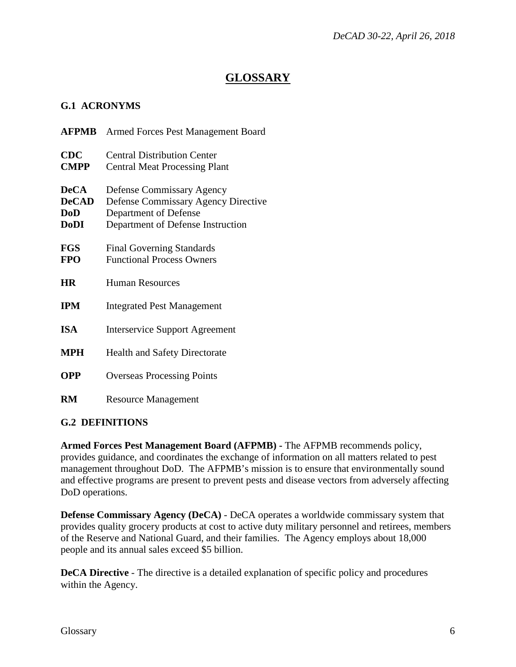#### **GLOSSARY**

#### <span id="page-5-1"></span><span id="page-5-0"></span>**G.1 ACRONYMS**

| AFPMB                                                    | Armed Forces Pest Management Board                                                                                                           |
|----------------------------------------------------------|----------------------------------------------------------------------------------------------------------------------------------------------|
| <b>CDC</b><br><b>CMPP</b>                                | <b>Central Distribution Center</b><br><b>Central Meat Processing Plant</b>                                                                   |
| <b>DeCA</b><br><b>DeCAD</b><br><b>DoD</b><br><b>DoDI</b> | <b>Defense Commissary Agency</b><br><b>Defense Commissary Agency Directive</b><br>Department of Defense<br>Department of Defense Instruction |
| <b>FGS</b><br><b>FPO</b>                                 | <b>Final Governing Standards</b><br><b>Functional Process Owners</b>                                                                         |
| <b>HR</b>                                                | <b>Human Resources</b>                                                                                                                       |
| <b>IPM</b>                                               | <b>Integrated Pest Management</b>                                                                                                            |
| <b>ISA</b>                                               | <b>Interservice Support Agreement</b>                                                                                                        |
| <b>MPH</b>                                               | <b>Health and Safety Directorate</b>                                                                                                         |
| <b>OPP</b>                                               | <b>Overseas Processing Points</b>                                                                                                            |
| RM                                                       | <b>Resource Management</b>                                                                                                                   |

#### <span id="page-5-2"></span>**G.2 DEFINITIONS**

**Armed Forces Pest Management Board (AFPMB) -** The AFPMB recommends policy, provides guidance, and coordinates the exchange of information on all matters related to pest management throughout DoD. The AFPMB's mission is to ensure that environmentally sound and effective programs are present to prevent pests and disease vectors from adversely affecting DoD operations.

**Defense Commissary Agency (DeCA)** - DeCA operates a worldwide commissary system that provides quality grocery products at cost to active duty military personnel and retirees, members of the Reserve and National Guard, and their families. The Agency employs about 18,000 people and its annual sales exceed \$5 billion.

**DeCA Directive** - The directive is a detailed explanation of specific policy and procedures within the Agency.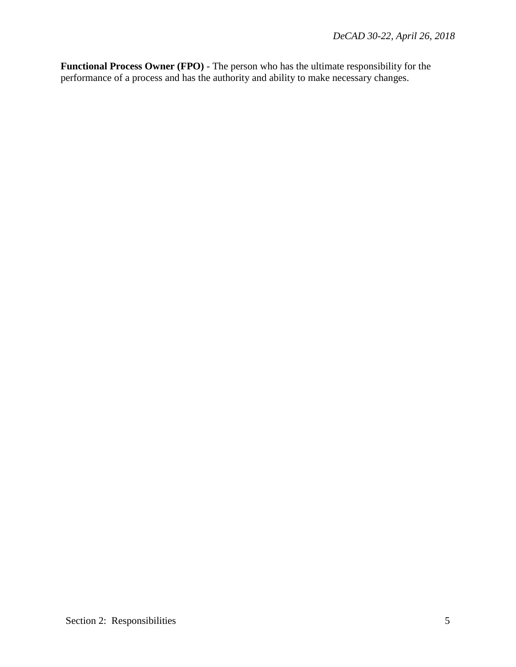**Functional Process Owner (FPO)** - The person who has the ultimate responsibility for the performance of a process and has the authority and ability to make necessary changes.